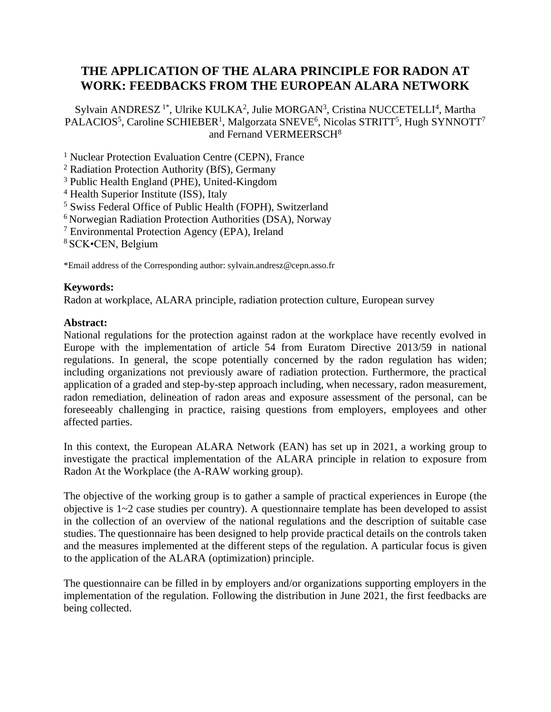## **THE APPLICATION OF THE ALARA PRINCIPLE FOR RADON AT WORK: FEEDBACKS FROM THE EUROPEAN ALARA NETWORK**

Sylvain ANDRESZ<sup>1\*</sup>, Ulrike KULKA<sup>2</sup>, Julie MORGAN<sup>3</sup>, Cristina NUCCETELLI<sup>4</sup>, Martha PALACIOS<sup>5</sup>, Caroline SCHIEBER<sup>1</sup>, Malgorzata SNEVE<sup>6</sup>, Nicolas STRITT<sup>5</sup>, Hugh SYNNOTT<sup>7</sup> and Fernand VERMEERSCH<sup>8</sup>

<sup>1</sup> Nuclear Protection Evaluation Centre (CEPN), France

<sup>2</sup> Radiation Protection Authority (BfS), Germany

<sup>3</sup> Public Health England (PHE), United-Kingdom

<sup>4</sup> Health Superior Institute (ISS), Italy

<sup>5</sup> Swiss Federal Office of Public Health (FOPH), Switzerland

<sup>6</sup> Norwegian Radiation Protection Authorities (DSA), Norway

<sup>7</sup> Environmental Protection Agency (EPA), Ireland

<sup>8</sup> SCK•CEN, Belgium

\*Email address of the Corresponding author: sylvain.andresz@cepn.asso.fr

## **Keywords:**

Radon at workplace, ALARA principle, radiation protection culture, European survey

## **Abstract:**

National regulations for the protection against radon at the workplace have recently evolved in Europe with the implementation of article 54 from Euratom Directive 2013/59 in national regulations. In general, the scope potentially concerned by the radon regulation has widen; including organizations not previously aware of radiation protection. Furthermore, the practical application of a graded and step-by-step approach including, when necessary, radon measurement, radon remediation, delineation of radon areas and exposure assessment of the personal, can be foreseeably challenging in practice, raising questions from employers, employees and other affected parties.

In this context, the European ALARA Network (EAN) has set up in 2021, a working group to investigate the practical implementation of the ALARA principle in relation to exposure from Radon At the Workplace (the A-RAW working group).

The objective of the working group is to gather a sample of practical experiences in Europe (the objective is 1~2 case studies per country). A questionnaire template has been developed to assist in the collection of an overview of the national regulations and the description of suitable case studies. The questionnaire has been designed to help provide practical details on the controls taken and the measures implemented at the different steps of the regulation. A particular focus is given to the application of the ALARA (optimization) principle.

The questionnaire can be filled in by employers and/or organizations supporting employers in the implementation of the regulation. Following the distribution in June 2021, the first feedbacks are being collected.